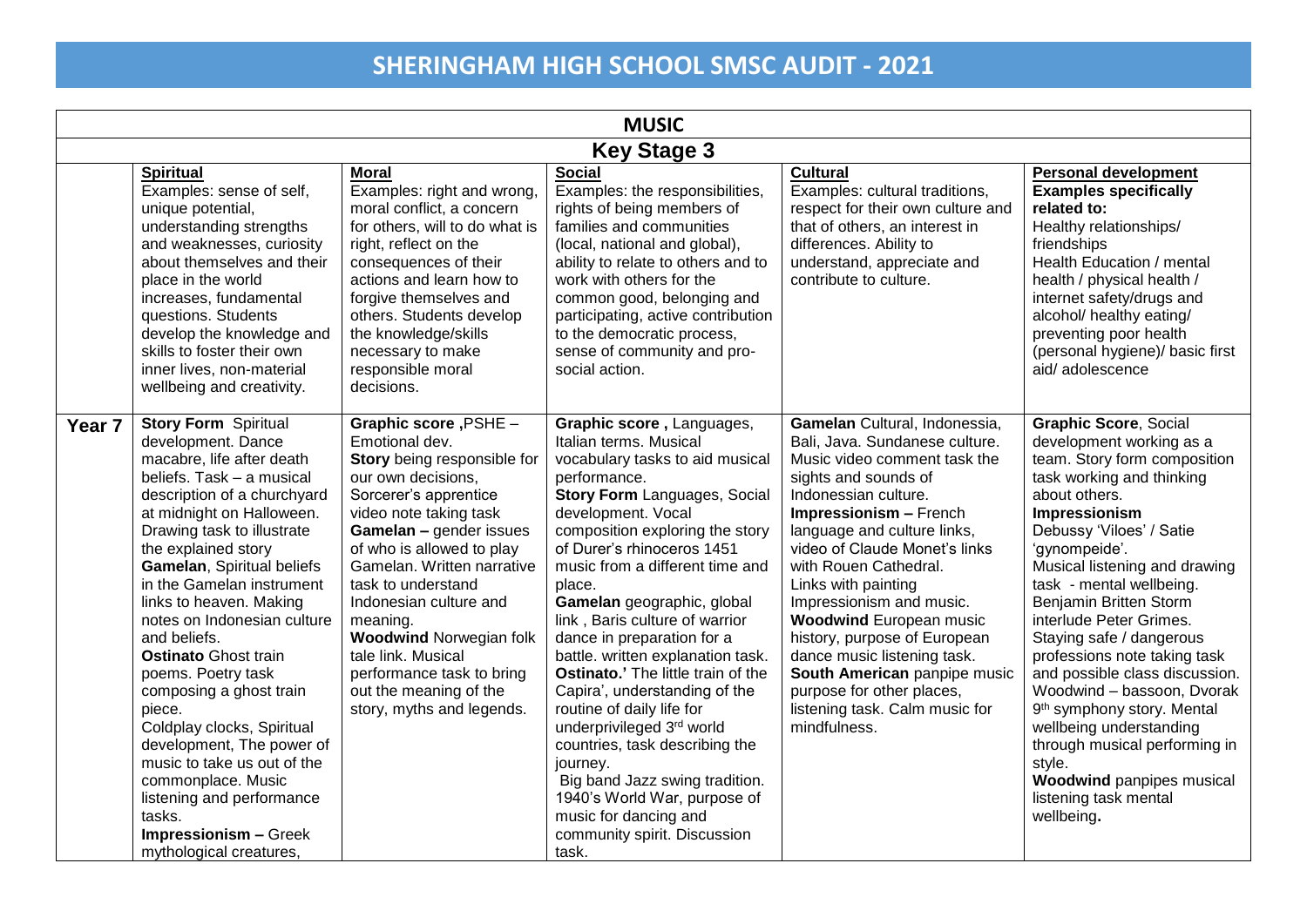| <b>MUSIC</b>       |                                                                                                                                                                                                                                                                                                                                                                                                                                                                                                                                                                                                                                                                               |                                                                                                                                                                                                                                                                                                                                                                                                                                                |                                                                                                                                                                                                                                                                                                                                                                                                                                                                                                                                                                                                                                                                                                                                         |                                                                                                                                                                                                                                                                                                                                                                                                                                                                                                                                       |                                                                                                                                                                                                                                                                                                                                                                                                                                                                                                                                                                                                                                                      |  |
|--------------------|-------------------------------------------------------------------------------------------------------------------------------------------------------------------------------------------------------------------------------------------------------------------------------------------------------------------------------------------------------------------------------------------------------------------------------------------------------------------------------------------------------------------------------------------------------------------------------------------------------------------------------------------------------------------------------|------------------------------------------------------------------------------------------------------------------------------------------------------------------------------------------------------------------------------------------------------------------------------------------------------------------------------------------------------------------------------------------------------------------------------------------------|-----------------------------------------------------------------------------------------------------------------------------------------------------------------------------------------------------------------------------------------------------------------------------------------------------------------------------------------------------------------------------------------------------------------------------------------------------------------------------------------------------------------------------------------------------------------------------------------------------------------------------------------------------------------------------------------------------------------------------------------|---------------------------------------------------------------------------------------------------------------------------------------------------------------------------------------------------------------------------------------------------------------------------------------------------------------------------------------------------------------------------------------------------------------------------------------------------------------------------------------------------------------------------------------|------------------------------------------------------------------------------------------------------------------------------------------------------------------------------------------------------------------------------------------------------------------------------------------------------------------------------------------------------------------------------------------------------------------------------------------------------------------------------------------------------------------------------------------------------------------------------------------------------------------------------------------------------|--|
| <b>Key Stage 3</b> |                                                                                                                                                                                                                                                                                                                                                                                                                                                                                                                                                                                                                                                                               |                                                                                                                                                                                                                                                                                                                                                                                                                                                |                                                                                                                                                                                                                                                                                                                                                                                                                                                                                                                                                                                                                                                                                                                                         |                                                                                                                                                                                                                                                                                                                                                                                                                                                                                                                                       |                                                                                                                                                                                                                                                                                                                                                                                                                                                                                                                                                                                                                                                      |  |
|                    | <b>Spiritual</b><br>Examples: sense of self,<br>unique potential,<br>understanding strengths<br>and weaknesses, curiosity<br>about themselves and their<br>place in the world<br>increases, fundamental<br>questions. Students<br>develop the knowledge and<br>skills to foster their own<br>inner lives, non-material<br>wellbeing and creativity.                                                                                                                                                                                                                                                                                                                           | <b>Moral</b><br>Examples: right and wrong,<br>moral conflict, a concern<br>for others, will to do what is<br>right, reflect on the<br>consequences of their<br>actions and learn how to<br>forgive themselves and<br>others. Students develop<br>the knowledge/skills<br>necessary to make<br>responsible moral<br>decisions.                                                                                                                  | <b>Social</b><br>Examples: the responsibilities,<br>rights of being members of<br>families and communities<br>(local, national and global),<br>ability to relate to others and to<br>work with others for the<br>common good, belonging and<br>participating, active contribution<br>to the democratic process,<br>sense of community and pro-<br>social action.                                                                                                                                                                                                                                                                                                                                                                        | <b>Cultural</b><br>Examples: cultural traditions,<br>respect for their own culture and<br>that of others, an interest in<br>differences. Ability to<br>understand, appreciate and<br>contribute to culture.                                                                                                                                                                                                                                                                                                                           | <b>Personal development</b><br><b>Examples specifically</b><br>related to:<br>Healthy relationships/<br>friendships<br>Health Education / mental<br>health / physical health /<br>internet safety/drugs and<br>alcohol/ healthy eating/<br>preventing poor health<br>(personal hygiene)/ basic first<br>aid/adolescence                                                                                                                                                                                                                                                                                                                              |  |
| Year 7             | <b>Story Form Spiritual</b><br>development. Dance<br>macabre, life after death<br>beliefs. Task - a musical<br>description of a churchyard<br>at midnight on Halloween.<br>Drawing task to illustrate<br>the explained story<br>Gamelan, Spiritual beliefs<br>in the Gamelan instrument<br>links to heaven. Making<br>notes on Indonesian culture<br>and beliefs.<br><b>Ostinato Ghost train</b><br>poems. Poetry task<br>composing a ghost train<br>piece.<br>Coldplay clocks, Spiritual<br>development, The power of<br>music to take us out of the<br>commonplace. Music<br>listening and performance<br>tasks.<br><b>Impressionism - Greek</b><br>mythological creatures, | Graphic score , PSHE -<br>Emotional dev.<br>Story being responsible for<br>our own decisions,<br>Sorcerer's apprentice<br>video note taking task<br>Gamelan - gender issues<br>of who is allowed to play<br>Gamelan. Written narrative<br>task to understand<br>Indonesian culture and<br>meaning.<br><b>Woodwind Norwegian folk</b><br>tale link. Musical<br>performance task to bring<br>out the meaning of the<br>story, myths and legends. | Graphic score, Languages,<br>Italian terms. Musical<br>vocabulary tasks to aid musical<br>performance.<br><b>Story Form Languages, Social</b><br>development. Vocal<br>composition exploring the story<br>of Durer's rhinoceros 1451<br>music from a different time and<br>place.<br>Gamelan geographic, global<br>link, Baris culture of warrior<br>dance in preparation for a<br>battle. written explanation task.<br>Ostinato.' The little train of the<br>Capira', understanding of the<br>routine of daily life for<br>underprivileged 3rd world<br>countries, task describing the<br>journey.<br>Big band Jazz swing tradition.<br>1940's World War, purpose of<br>music for dancing and<br>community spirit. Discussion<br>task. | Gamelan Cultural, Indonessia,<br>Bali, Java. Sundanese culture.<br>Music video comment task the<br>sights and sounds of<br>Indonessian culture.<br>Impressionism - French<br>language and culture links,<br>video of Claude Monet's links<br>with Rouen Cathedral.<br>Links with painting<br>Impressionism and music.<br><b>Woodwind European music</b><br>history, purpose of European<br>dance music listening task.<br>South American panpipe music<br>purpose for other places,<br>listening task. Calm music for<br>mindfulness. | <b>Graphic Score, Social</b><br>development working as a<br>team. Story form composition<br>task working and thinking<br>about others.<br>Impressionism<br>Debussy 'Viloes' / Satie<br>'gynompeide'.<br>Musical listening and drawing<br>task - mental wellbeing.<br><b>Benjamin Britten Storm</b><br>interlude Peter Grimes.<br>Staying safe / dangerous<br>professions note taking task<br>and possible class discussion.<br>Woodwind - bassoon, Dvorak<br>9 <sup>th</sup> symphony story. Mental<br>wellbeing understanding<br>through musical performing in<br>style.<br><b>Woodwind panpipes musical</b><br>listening task mental<br>wellbeing. |  |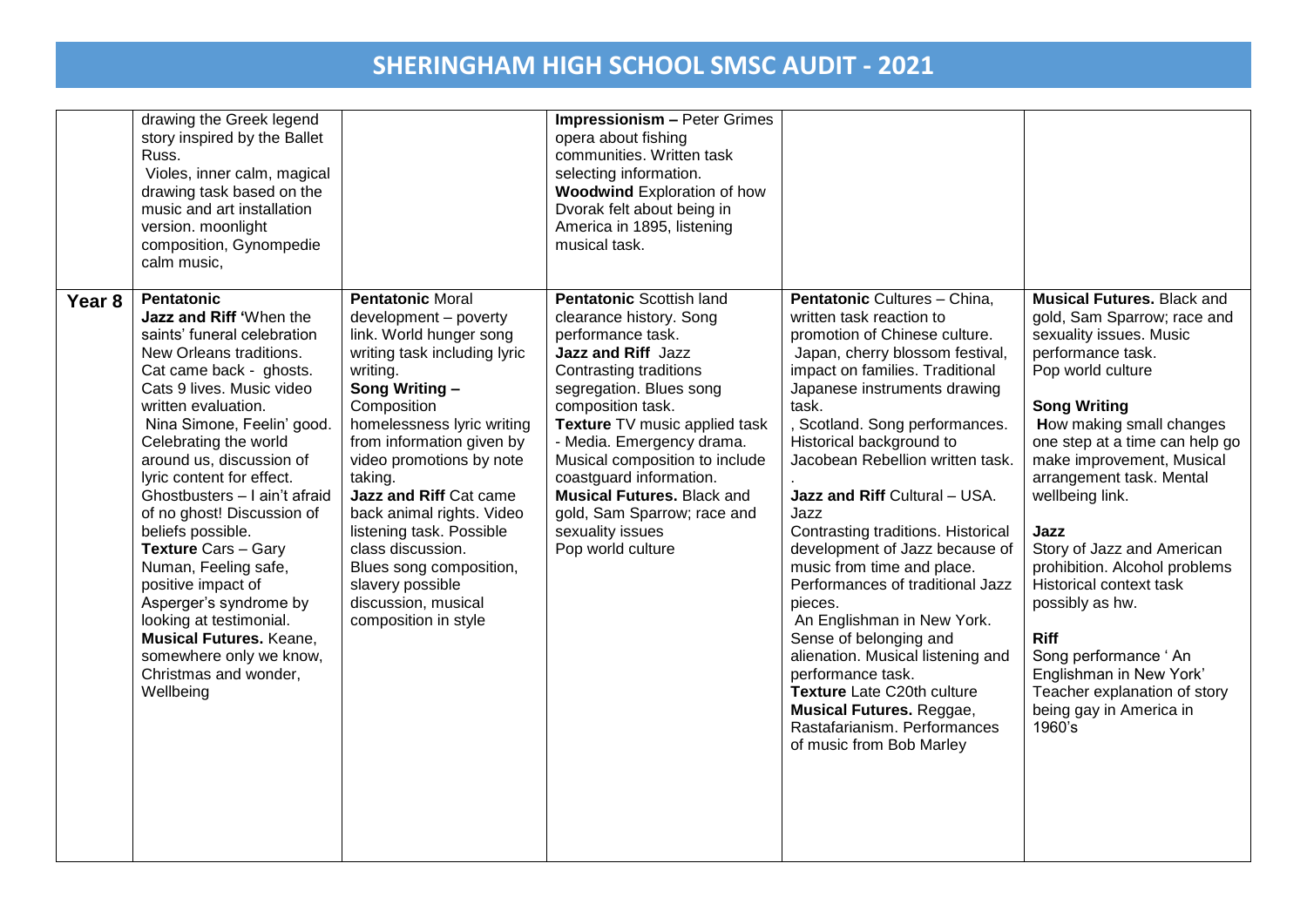|        | drawing the Greek legend<br>story inspired by the Ballet<br>Russ.<br>Violes, inner calm, magical<br>drawing task based on the<br>music and art installation<br>version. moonlight<br>composition, Gynompedie<br>calm music,                                                                                                                                                                                                                                                                                                                                                                                                   |                                                                                                                                                                                                                                                                                                                                                                                                                                                                  | <b>Impressionism - Peter Grimes</b><br>opera about fishing<br>communities. Written task<br>selecting information.<br><b>Woodwind Exploration of how</b><br>Dvorak felt about being in<br>America in 1895, listening<br>musical task.                                                                                                                                                                                    |                                                                                                                                                                                                                                                                                                                                                                                                                                                                                                                                                                                                                                                                                                                                                       |                                                                                                                                                                                                                                                                                                                                                                                                                                                                                                                                                                    |
|--------|-------------------------------------------------------------------------------------------------------------------------------------------------------------------------------------------------------------------------------------------------------------------------------------------------------------------------------------------------------------------------------------------------------------------------------------------------------------------------------------------------------------------------------------------------------------------------------------------------------------------------------|------------------------------------------------------------------------------------------------------------------------------------------------------------------------------------------------------------------------------------------------------------------------------------------------------------------------------------------------------------------------------------------------------------------------------------------------------------------|-------------------------------------------------------------------------------------------------------------------------------------------------------------------------------------------------------------------------------------------------------------------------------------------------------------------------------------------------------------------------------------------------------------------------|-------------------------------------------------------------------------------------------------------------------------------------------------------------------------------------------------------------------------------------------------------------------------------------------------------------------------------------------------------------------------------------------------------------------------------------------------------------------------------------------------------------------------------------------------------------------------------------------------------------------------------------------------------------------------------------------------------------------------------------------------------|--------------------------------------------------------------------------------------------------------------------------------------------------------------------------------------------------------------------------------------------------------------------------------------------------------------------------------------------------------------------------------------------------------------------------------------------------------------------------------------------------------------------------------------------------------------------|
| Year 8 | <b>Pentatonic</b><br>Jazz and Riff 'When the<br>saints' funeral celebration<br>New Orleans traditions.<br>Cat came back - ghosts.<br>Cats 9 lives. Music video<br>written evaluation.<br>Nina Simone, Feelin' good.<br>Celebrating the world<br>around us, discussion of<br>lyric content for effect.<br>Ghostbusters - I ain't afraid<br>of no ghost! Discussion of<br>beliefs possible.<br><b>Texture Cars - Gary</b><br>Numan, Feeling safe,<br>positive impact of<br>Asperger's syndrome by<br>looking at testimonial.<br><b>Musical Futures. Keane,</b><br>somewhere only we know,<br>Christmas and wonder,<br>Wellbeing | <b>Pentatonic Moral</b><br>development - poverty<br>link. World hunger song<br>writing task including lyric<br>writing.<br>Song Writing -<br>Composition<br>homelessness lyric writing<br>from information given by<br>video promotions by note<br>taking.<br>Jazz and Riff Cat came<br>back animal rights. Video<br>listening task. Possible<br>class discussion.<br>Blues song composition,<br>slavery possible<br>discussion, musical<br>composition in style | <b>Pentatonic Scottish land</b><br>clearance history. Song<br>performance task.<br>Jazz and Riff Jazz<br>Contrasting traditions<br>segregation. Blues song<br>composition task.<br>Texture TV music applied task<br>- Media. Emergency drama.<br>Musical composition to include<br>coastguard information.<br><b>Musical Futures. Black and</b><br>gold, Sam Sparrow; race and<br>sexuality issues<br>Pop world culture | Pentatonic Cultures - China,<br>written task reaction to<br>promotion of Chinese culture.<br>Japan, cherry blossom festival,<br>impact on families. Traditional<br>Japanese instruments drawing<br>task.<br>Scotland. Song performances.<br>Historical background to<br>Jacobean Rebellion written task.<br>Jazz and Riff Cultural - USA.<br>Jazz<br>Contrasting traditions. Historical<br>development of Jazz because of<br>music from time and place.<br>Performances of traditional Jazz<br>pieces.<br>An Englishman in New York.<br>Sense of belonging and<br>alienation. Musical listening and<br>performance task.<br>Texture Late C20th culture<br><b>Musical Futures. Reggae,</b><br>Rastafarianism. Performances<br>of music from Bob Marley | <b>Musical Futures. Black and</b><br>gold, Sam Sparrow; race and<br>sexuality issues. Music<br>performance task.<br>Pop world culture<br><b>Song Writing</b><br>How making small changes<br>one step at a time can help go<br>make improvement, Musical<br>arrangement task. Mental<br>wellbeing link.<br>Jazz<br>Story of Jazz and American<br>prohibition. Alcohol problems<br>Historical context task<br>possibly as hw.<br><b>Riff</b><br>Song performance 'An<br>Englishman in New York'<br>Teacher explanation of story<br>being gay in America in<br>1960's |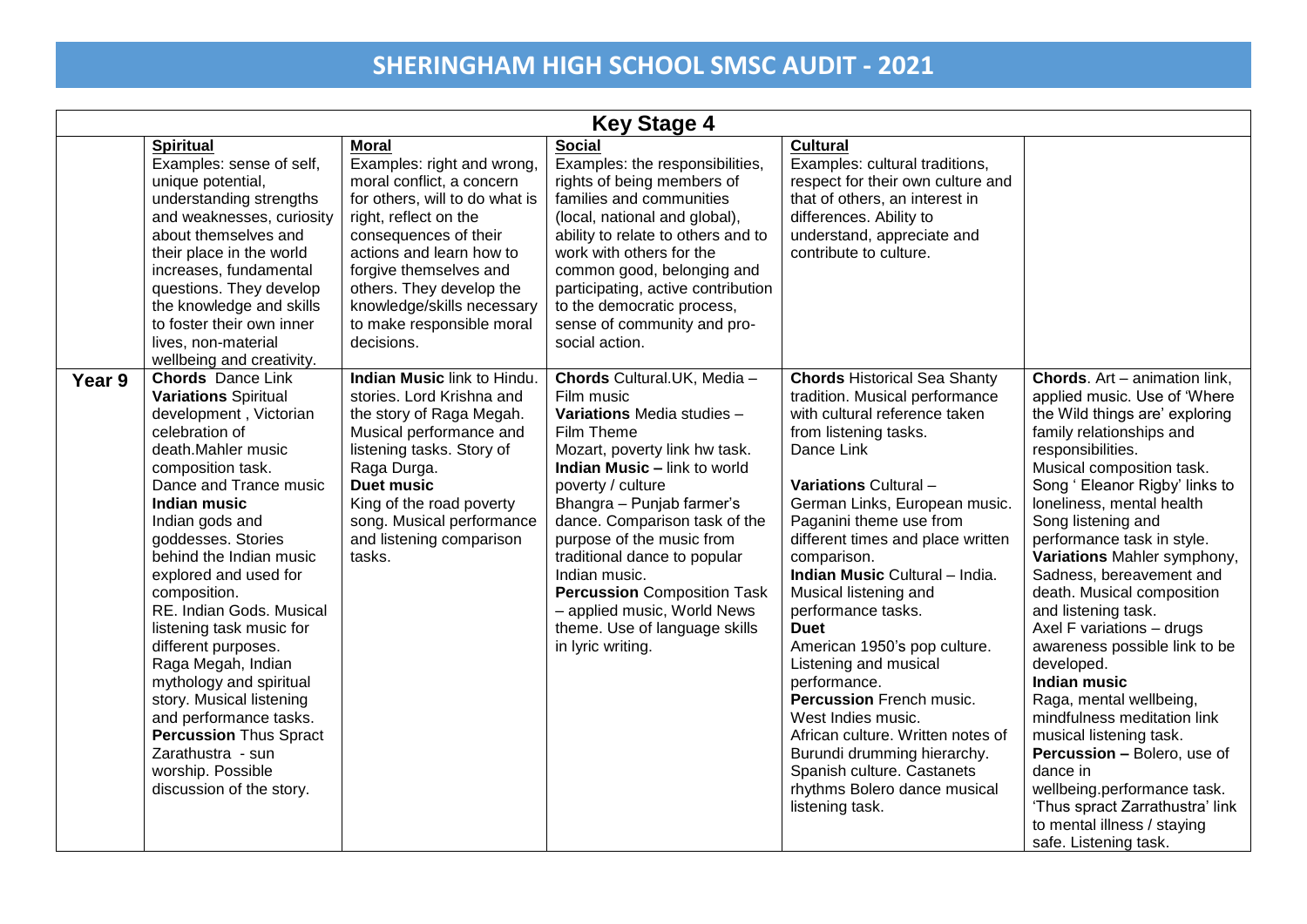|        | <b>Key Stage 4</b>                                                                                                                                                                                                                                                                                                                                                                                                                                                                                                                                                                                        |                                                                                                                                                                                                                                                                                                                        |                                                                                                                                                                                                                                                                                                                                                                                                                                                           |                                                                                                                                                                                                                                                                                                                                                                                                                                                                                                                                                                                                                                                                        |                                                                                                                                                                                                                                                                                                                                                                                                                                                                                                                                                                                                                                                                                                                                                                                      |  |  |
|--------|-----------------------------------------------------------------------------------------------------------------------------------------------------------------------------------------------------------------------------------------------------------------------------------------------------------------------------------------------------------------------------------------------------------------------------------------------------------------------------------------------------------------------------------------------------------------------------------------------------------|------------------------------------------------------------------------------------------------------------------------------------------------------------------------------------------------------------------------------------------------------------------------------------------------------------------------|-----------------------------------------------------------------------------------------------------------------------------------------------------------------------------------------------------------------------------------------------------------------------------------------------------------------------------------------------------------------------------------------------------------------------------------------------------------|------------------------------------------------------------------------------------------------------------------------------------------------------------------------------------------------------------------------------------------------------------------------------------------------------------------------------------------------------------------------------------------------------------------------------------------------------------------------------------------------------------------------------------------------------------------------------------------------------------------------------------------------------------------------|--------------------------------------------------------------------------------------------------------------------------------------------------------------------------------------------------------------------------------------------------------------------------------------------------------------------------------------------------------------------------------------------------------------------------------------------------------------------------------------------------------------------------------------------------------------------------------------------------------------------------------------------------------------------------------------------------------------------------------------------------------------------------------------|--|--|
|        | <b>Spiritual</b><br>Examples: sense of self,<br>unique potential,<br>understanding strengths<br>and weaknesses, curiosity<br>about themselves and<br>their place in the world<br>increases, fundamental<br>questions. They develop<br>the knowledge and skills<br>to foster their own inner<br>lives, non-material<br>wellbeing and creativity.                                                                                                                                                                                                                                                           | <b>Moral</b><br>Examples: right and wrong,<br>moral conflict, a concern<br>for others, will to do what is<br>right, reflect on the<br>consequences of their<br>actions and learn how to<br>forgive themselves and<br>others. They develop the<br>knowledge/skills necessary<br>to make responsible moral<br>decisions. | <b>Social</b><br>Examples: the responsibilities,<br>rights of being members of<br>families and communities<br>(local, national and global),<br>ability to relate to others and to<br>work with others for the<br>common good, belonging and<br>participating, active contribution<br>to the democratic process,<br>sense of community and pro-<br>social action.                                                                                          | <b>Cultural</b><br>Examples: cultural traditions,<br>respect for their own culture and<br>that of others, an interest in<br>differences. Ability to<br>understand, appreciate and<br>contribute to culture.                                                                                                                                                                                                                                                                                                                                                                                                                                                            |                                                                                                                                                                                                                                                                                                                                                                                                                                                                                                                                                                                                                                                                                                                                                                                      |  |  |
| Year 9 | <b>Chords</b> Dance Link<br><b>Variations Spiritual</b><br>development, Victorian<br>celebration of<br>death.Mahler music<br>composition task.<br>Dance and Trance music<br><b>Indian music</b><br>Indian gods and<br>goddesses. Stories<br>behind the Indian music<br>explored and used for<br>composition.<br>RE. Indian Gods. Musical<br>listening task music for<br>different purposes.<br>Raga Megah, Indian<br>mythology and spiritual<br>story. Musical listening<br>and performance tasks.<br><b>Percussion Thus Spract</b><br>Zarathustra - sun<br>worship. Possible<br>discussion of the story. | Indian Music link to Hindu.<br>stories. Lord Krishna and<br>the story of Raga Megah.<br>Musical performance and<br>listening tasks. Story of<br>Raga Durga.<br><b>Duet music</b><br>King of the road poverty<br>song. Musical performance<br>and listening comparison<br>tasks.                                        | Chords Cultural.UK, Media -<br>Film music<br>Variations Media studies -<br>Film Theme<br>Mozart, poverty link hw task.<br><b>Indian Music - link to world</b><br>poverty / culture<br>Bhangra - Punjab farmer's<br>dance. Comparison task of the<br>purpose of the music from<br>traditional dance to popular<br>Indian music.<br><b>Percussion</b> Composition Task<br>- applied music, World News<br>theme. Use of language skills<br>in lyric writing. | <b>Chords Historical Sea Shanty</b><br>tradition. Musical performance<br>with cultural reference taken<br>from listening tasks.<br>Dance Link<br>Variations Cultural -<br>German Links, European music.<br>Paganini theme use from<br>different times and place written<br>comparison.<br>Indian Music Cultural - India.<br>Musical listening and<br>performance tasks.<br><b>Duet</b><br>American 1950's pop culture.<br>Listening and musical<br>performance.<br>Percussion French music.<br>West Indies music.<br>African culture. Written notes of<br>Burundi drumming hierarchy.<br>Spanish culture. Castanets<br>rhythms Bolero dance musical<br>listening task. | <b>Chords.</b> Art – animation link,<br>applied music. Use of 'Where<br>the Wild things are' exploring<br>family relationships and<br>responsibilities.<br>Musical composition task.<br>Song ' Eleanor Rigby' links to<br>loneliness, mental health<br>Song listening and<br>performance task in style.<br>Variations Mahler symphony,<br>Sadness, bereavement and<br>death. Musical composition<br>and listening task.<br>Axel F variations - drugs<br>awareness possible link to be<br>developed.<br><b>Indian music</b><br>Raga, mental wellbeing,<br>mindfulness meditation link<br>musical listening task.<br>Percussion - Bolero, use of<br>dance in<br>wellbeing.performance task.<br>'Thus spract Zarrathustra' link<br>to mental illness / staying<br>safe. Listening task. |  |  |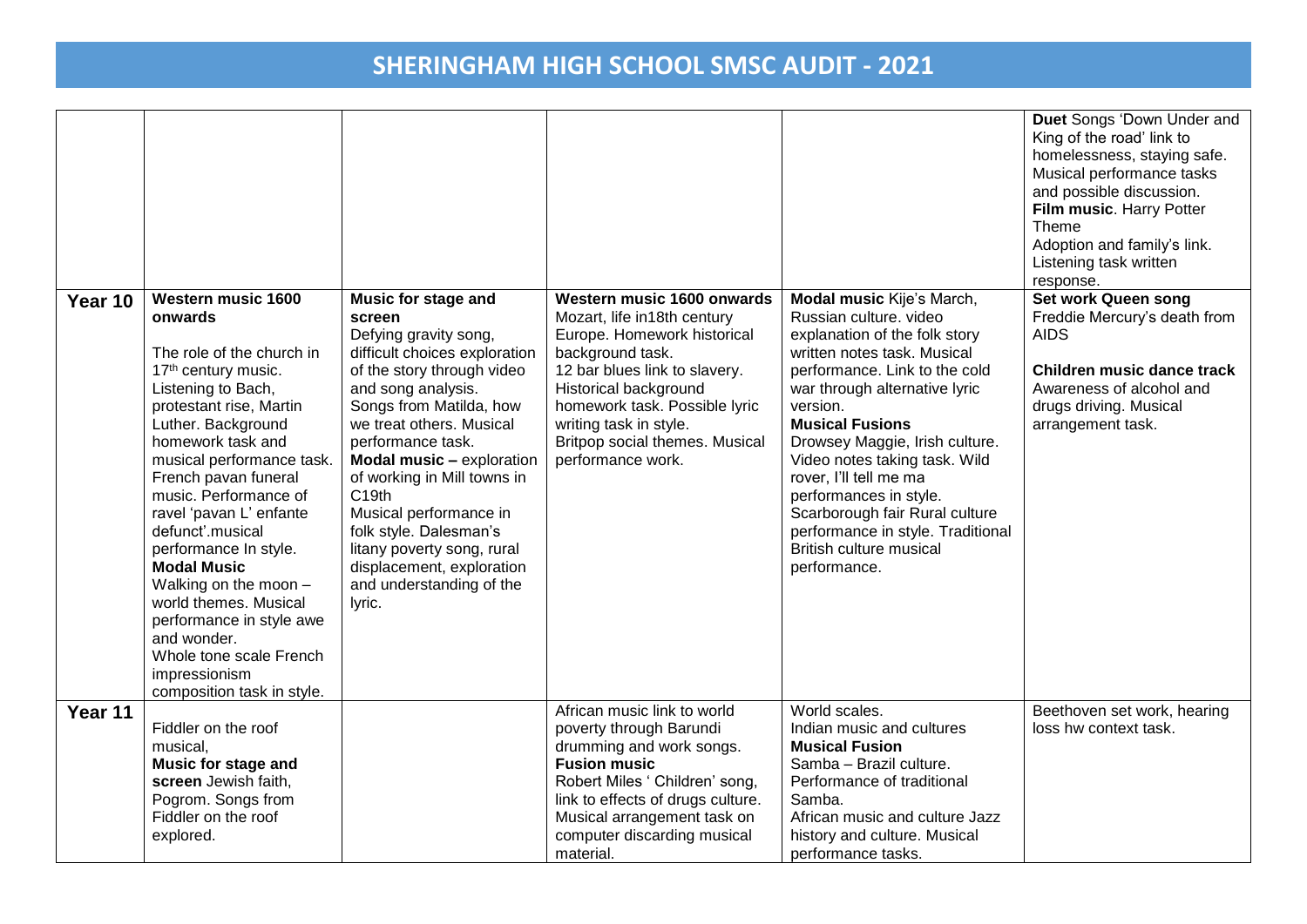|                                  |                                                                                                                                                                                                                                                                                                                                                                                                                                                                                                                                          |                                                                                                                                                                                                                                                                                                                                                                                                                                                                      |                                                                                                                                                                                                                                                                                          |                                                                                                                                                                                                                                                                                                                                                                                                                                                                      | Duet Songs 'Down Under and<br>King of the road' link to<br>homelessness, staying safe.<br>Musical performance tasks<br>and possible discussion.<br>Film music. Harry Potter<br>Theme<br>Adoption and family's link.<br>Listening task written<br>response. |
|----------------------------------|------------------------------------------------------------------------------------------------------------------------------------------------------------------------------------------------------------------------------------------------------------------------------------------------------------------------------------------------------------------------------------------------------------------------------------------------------------------------------------------------------------------------------------------|----------------------------------------------------------------------------------------------------------------------------------------------------------------------------------------------------------------------------------------------------------------------------------------------------------------------------------------------------------------------------------------------------------------------------------------------------------------------|------------------------------------------------------------------------------------------------------------------------------------------------------------------------------------------------------------------------------------------------------------------------------------------|----------------------------------------------------------------------------------------------------------------------------------------------------------------------------------------------------------------------------------------------------------------------------------------------------------------------------------------------------------------------------------------------------------------------------------------------------------------------|------------------------------------------------------------------------------------------------------------------------------------------------------------------------------------------------------------------------------------------------------------|
| Year 10<br>onwards               | <b>Western music 1600</b><br>The role of the church in<br>17 <sup>th</sup> century music.<br>Listening to Bach,<br>protestant rise, Martin<br>Luther. Background<br>homework task and<br>musical performance task.<br>French pavan funeral<br>music. Performance of<br>ravel 'pavan L' enfante<br>defunct'.musical<br>performance In style.<br><b>Modal Music</b><br>Walking on the moon -<br>world themes. Musical<br>performance in style awe<br>and wonder.<br>Whole tone scale French<br>impressionism<br>composition task in style. | <b>Music for stage and</b><br>screen<br>Defying gravity song,<br>difficult choices exploration<br>of the story through video<br>and song analysis.<br>Songs from Matilda, how<br>we treat others. Musical<br>performance task.<br>Modal music - exploration<br>of working in Mill towns in<br>C <sub>19th</sub><br>Musical performance in<br>folk style. Dalesman's<br>litany poverty song, rural<br>displacement, exploration<br>and understanding of the<br>lyric. | Western music 1600 onwards<br>Mozart, life in18th century<br>Europe. Homework historical<br>background task.<br>12 bar blues link to slavery.<br>Historical background<br>homework task. Possible lyric<br>writing task in style.<br>Britpop social themes. Musical<br>performance work. | Modal music Kije's March,<br>Russian culture. video<br>explanation of the folk story<br>written notes task. Musical<br>performance. Link to the cold<br>war through alternative lyric<br>version.<br><b>Musical Fusions</b><br>Drowsey Maggie, Irish culture.<br>Video notes taking task. Wild<br>rover, I'll tell me ma<br>performances in style.<br>Scarborough fair Rural culture<br>performance in style. Traditional<br>British culture musical<br>performance. | <b>Set work Queen song</b><br>Freddie Mercury's death from<br><b>AIDS</b><br>Children music dance track<br>Awareness of alcohol and<br>drugs driving. Musical<br>arrangement task.                                                                         |
| Year 11<br>musical,<br>explored. | Fiddler on the roof<br><b>Music for stage and</b><br>screen Jewish faith,<br>Pogrom. Songs from<br>Fiddler on the roof                                                                                                                                                                                                                                                                                                                                                                                                                   |                                                                                                                                                                                                                                                                                                                                                                                                                                                                      | African music link to world<br>poverty through Barundi<br>drumming and work songs.<br><b>Fusion music</b><br>Robert Miles ' Children' song,<br>link to effects of drugs culture.<br>Musical arrangement task on<br>computer discarding musical                                           | World scales.<br>Indian music and cultures<br><b>Musical Fusion</b><br>Samba - Brazil culture.<br>Performance of traditional<br>Samba.<br>African music and culture Jazz<br>history and culture. Musical                                                                                                                                                                                                                                                             | Beethoven set work, hearing<br>loss hw context task.                                                                                                                                                                                                       |